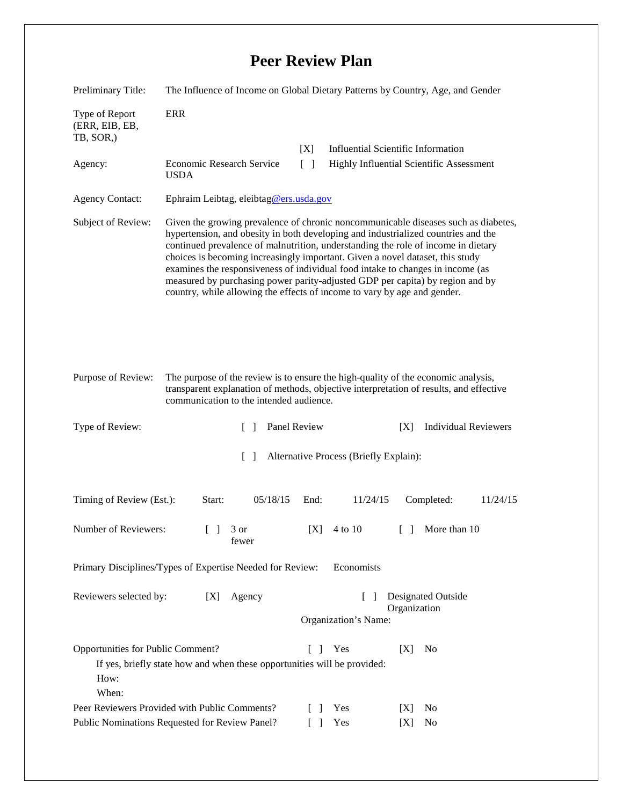## **Peer Review Plan**

| Preliminary Title:                                                                                                                                                                 | The Influence of Income on Global Dietary Patterns by Country, Age, and Gender                                                                                                                                                                                                                                                                                                                                                                                                                                                                                                               |                                                    |                                           |                                    |  |
|------------------------------------------------------------------------------------------------------------------------------------------------------------------------------------|----------------------------------------------------------------------------------------------------------------------------------------------------------------------------------------------------------------------------------------------------------------------------------------------------------------------------------------------------------------------------------------------------------------------------------------------------------------------------------------------------------------------------------------------------------------------------------------------|----------------------------------------------------|-------------------------------------------|------------------------------------|--|
| Type of Report<br>(ERR, EIB, EB,<br>TB, SOR,)                                                                                                                                      | <b>ERR</b>                                                                                                                                                                                                                                                                                                                                                                                                                                                                                                                                                                                   |                                                    |                                           |                                    |  |
|                                                                                                                                                                                    |                                                                                                                                                                                                                                                                                                                                                                                                                                                                                                                                                                                              | [X]                                                | <b>Influential Scientific Information</b> |                                    |  |
| Agency:                                                                                                                                                                            | Economic Research Service<br><b>USDA</b>                                                                                                                                                                                                                                                                                                                                                                                                                                                                                                                                                     | $\Box$<br>Highly Influential Scientific Assessment |                                           |                                    |  |
| <b>Agency Contact:</b>                                                                                                                                                             | Ephraim Leibtag, eleibtag@ers.usda.gov                                                                                                                                                                                                                                                                                                                                                                                                                                                                                                                                                       |                                                    |                                           |                                    |  |
| Subject of Review:                                                                                                                                                                 | Given the growing prevalence of chronic noncommunicable diseases such as diabetes,<br>hypertension, and obesity in both developing and industrialized countries and the<br>continued prevalence of malnutrition, understanding the role of income in dietary<br>choices is becoming increasingly important. Given a novel dataset, this study<br>examines the responsiveness of individual food intake to changes in income (as<br>measured by purchasing power parity-adjusted GDP per capita) by region and by<br>country, while allowing the effects of income to vary by age and gender. |                                                    |                                           |                                    |  |
| Purpose of Review:                                                                                                                                                                 | The purpose of the review is to ensure the high-quality of the economic analysis,<br>transparent explanation of methods, objective interpretation of results, and effective<br>communication to the intended audience.                                                                                                                                                                                                                                                                                                                                                                       |                                                    |                                           |                                    |  |
| Type of Review:                                                                                                                                                                    | $\mathbf{L}$                                                                                                                                                                                                                                                                                                                                                                                                                                                                                                                                                                                 | Panel Review                                       |                                           | <b>Individual Reviewers</b><br>[X] |  |
| $\lceil$<br>Alternative Process (Briefly Explain):                                                                                                                                 |                                                                                                                                                                                                                                                                                                                                                                                                                                                                                                                                                                                              |                                                    |                                           |                                    |  |
| Timing of Review (Est.):                                                                                                                                                           | 05/18/15<br>Start:                                                                                                                                                                                                                                                                                                                                                                                                                                                                                                                                                                           | End:                                               | 11/24/15                                  | Completed:<br>11/24/15             |  |
| Number of Reviewers:                                                                                                                                                               | 3 or<br>$\Box$<br>fewer                                                                                                                                                                                                                                                                                                                                                                                                                                                                                                                                                                      | [X]                                                | 4 to 10                                   | More than 10<br>$\Box$             |  |
| Primary Disciplines/Types of Expertise Needed for Review:<br>Economists                                                                                                            |                                                                                                                                                                                                                                                                                                                                                                                                                                                                                                                                                                                              |                                                    |                                           |                                    |  |
| Reviewers selected by:<br>Designated Outside<br>[X]<br>Agency<br>$\mathbf{I}$<br>Organization<br>Organization's Name:                                                              |                                                                                                                                                                                                                                                                                                                                                                                                                                                                                                                                                                                              |                                                    |                                           |                                    |  |
| Opportunities for Public Comment?<br>Yes<br>[X]<br>No<br>$\mathbf{L}$<br>$\mathbf{I}$<br>If yes, briefly state how and when these opportunities will be provided:<br>How:<br>When: |                                                                                                                                                                                                                                                                                                                                                                                                                                                                                                                                                                                              |                                                    |                                           |                                    |  |
| Peer Reviewers Provided with Public Comments?                                                                                                                                      |                                                                                                                                                                                                                                                                                                                                                                                                                                                                                                                                                                                              |                                                    | Yes                                       | No<br>[X]                          |  |
| Public Nominations Requested for Review Panel?                                                                                                                                     |                                                                                                                                                                                                                                                                                                                                                                                                                                                                                                                                                                                              |                                                    | Yes                                       | No<br>[X]                          |  |